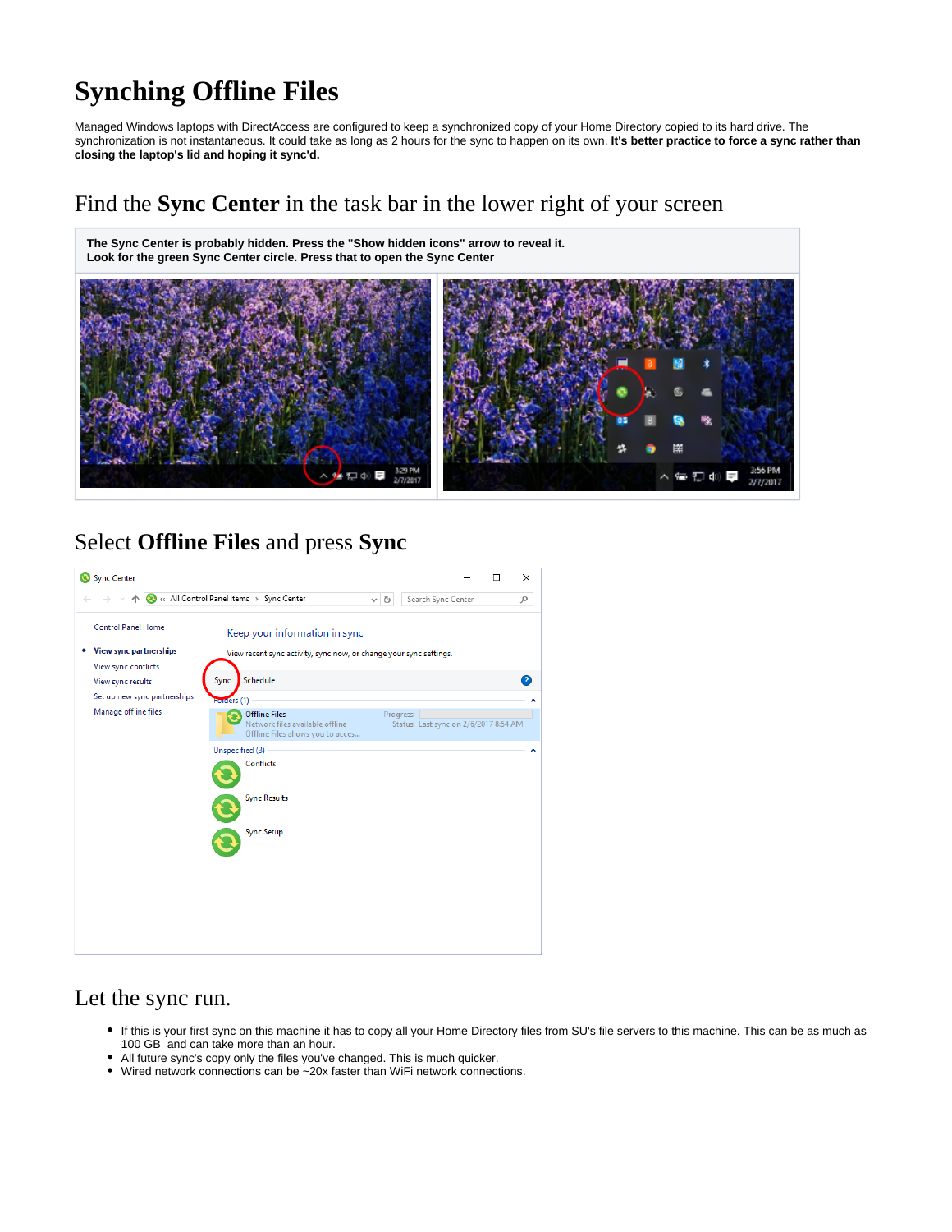## **Synching Offline Files**

Managed Windows laptops with DirectAccess are configured to keep a synchronized copy of your Home Directory copied to its hard drive. The synchronization is not instantaneous. It could take as long as 2 hours for the sync to happen on its own. **It's better practice to force a sync rather than closing the laptop's lid and hoping it sync'd.**

## Find the **Sync Center** in the task bar in the lower right of your screen

**The Sync Center is probably hidden. Press the "Show hidden icons" arrow to reveal it. Look for the green Sync Center circle. Press that to open the Sync Center**



## Select **Offline Files** and press **Sync**



## Let the sync run.

- If this is your first sync on this machine it has to copy all your Home Directory files from SU's file servers to this machine. This can be as much as 100 GB and can take more than an hour.
- All future sync's copy only the files you've changed. This is much quicker.
- Wired network connections can be ~20x faster than WiFi network connections.